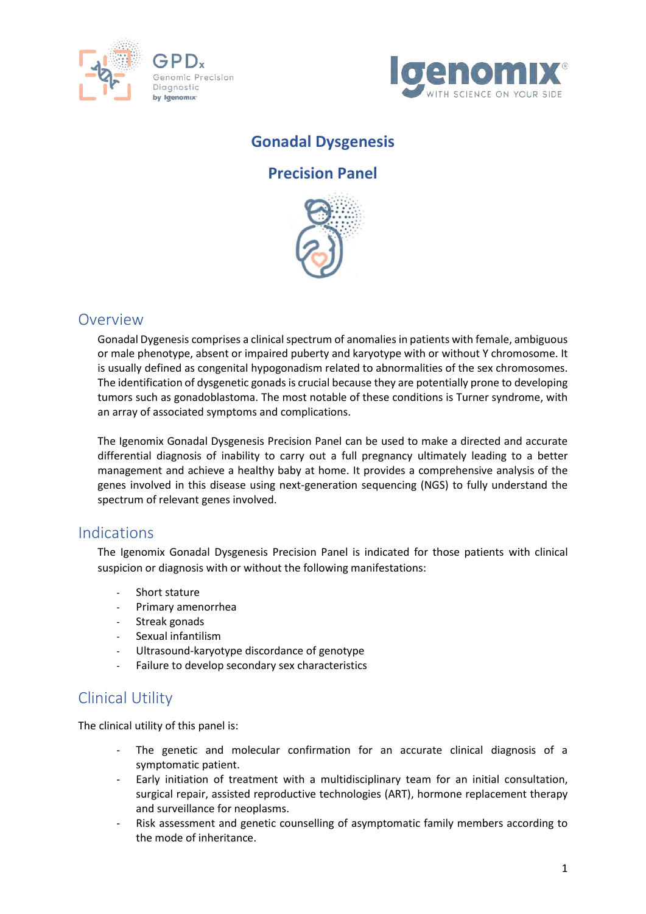



## **Gonadal Dysgenesis**

#### **Precision Panel**



## Overview

Gonadal Dygenesis comprises a clinical spectrum of anomalies in patients with female, ambiguous or male phenotype, absent or impaired puberty and karyotype with or without Y chromosome. It is usually defined as congenital hypogonadism related to abnormalities of the sex chromosomes. The identification of dysgenetic gonads is crucial because they are potentially prone to developing tumors such as gonadoblastoma. The most notable of these conditions is Turner syndrome, with an array of associated symptoms and complications.

The Igenomix Gonadal Dysgenesis Precision Panel can be used to make a directed and accurate differential diagnosis of inability to carry out a full pregnancy ultimately leading to a better management and achieve a healthy baby at home. It provides a comprehensive analysis of the genes involved in this disease using next-generation sequencing (NGS) to fully understand the spectrum of relevant genes involved.

### Indications

The Igenomix Gonadal Dysgenesis Precision Panel is indicated for those patients with clinical suspicion or diagnosis with or without the following manifestations:

- Short stature
- Primary amenorrhea
- Streak gonads
- Sexual infantilism
- Ultrasound-karyotype discordance of genotype
- Failure to develop secondary sex characteristics

## Clinical Utility

The clinical utility of this panel is:

- The genetic and molecular confirmation for an accurate clinical diagnosis of a symptomatic patient.
- Early initiation of treatment with a multidisciplinary team for an initial consultation, surgical repair, assisted reproductive technologies (ART), hormone replacement therapy and surveillance for neoplasms.
- Risk assessment and genetic counselling of asymptomatic family members according to the mode of inheritance.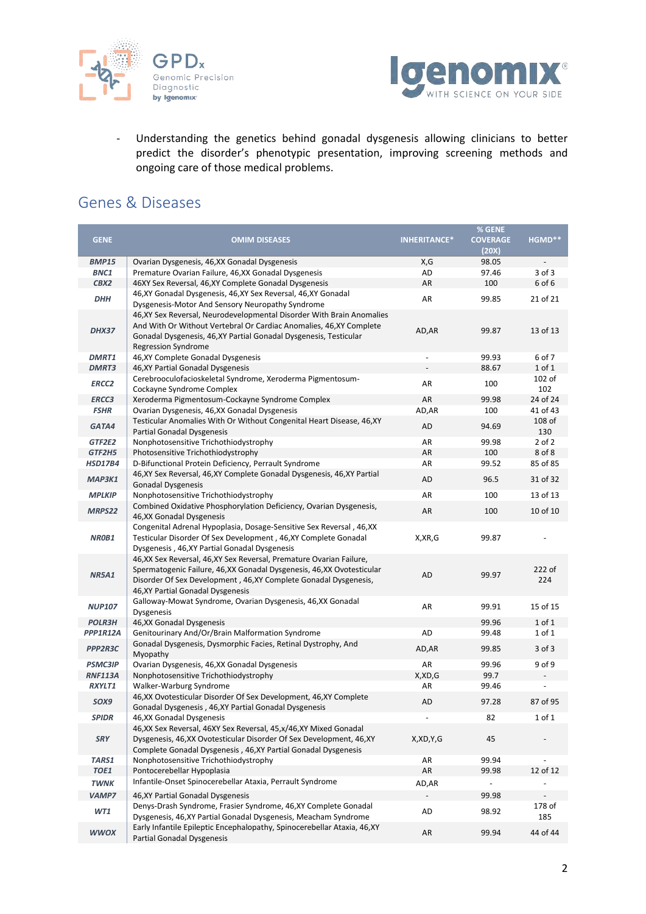



- Understanding the genetics behind gonadal dysgenesis allowing clinicians to better predict the disorder's phenotypic presentation, improving screening methods and ongoing care of those medical problems.

## Genes & Diseases

|                |                                                                          |                     | % GENE                   |            |
|----------------|--------------------------------------------------------------------------|---------------------|--------------------------|------------|
| <b>GENE</b>    | <b>OMIM DISEASES</b>                                                     | <b>INHERITANCE*</b> | <b>COVERAGE</b>          | HGMD**     |
|                |                                                                          |                     | (20X)                    |            |
| <b>BMP15</b>   | Ovarian Dysgenesis, 46, XX Gonadal Dysgenesis                            | X,G                 | 98.05                    |            |
| BNC1           | Premature Ovarian Failure, 46, XX Gonadal Dysgenesis                     | AD                  | 97.46                    | 3 of 3     |
| CBX2           | 46XY Sex Reversal, 46,XY Complete Gonadal Dysgenesis                     | AR                  | 100                      | 6 of 6     |
|                | 46, XY Gonadal Dysgenesis, 46, XY Sex Reversal, 46, XY Gonadal           |                     |                          |            |
| <b>DHH</b>     | Dysgenesis-Motor And Sensory Neuropathy Syndrome                         | AR                  | 99.85                    | 21 of 21   |
|                | 46, XY Sex Reversal, Neurodevelopmental Disorder With Brain Anomalies    |                     |                          |            |
|                | And With Or Without Vertebral Or Cardiac Anomalies, 46, XY Complete      |                     |                          |            |
| <b>DHX37</b>   | Gonadal Dysgenesis, 46, XY Partial Gonadal Dysgenesis, Testicular        | AD, AR              | 99.87                    | 13 of 13   |
|                | <b>Regression Syndrome</b>                                               |                     |                          |            |
| DMRT1          | 46, XY Complete Gonadal Dysgenesis                                       |                     | 99.93                    | 6 of 7     |
| <b>DMRT3</b>   |                                                                          |                     | 88.67                    | 1 of 1     |
|                | 46, XY Partial Gonadal Dysgenesis                                        |                     |                          |            |
| <b>ERCC2</b>   | Cerebrooculofacioskeletal Syndrome, Xeroderma Pigmentosum-               | AR                  | 100                      | 102 of     |
|                | Cockayne Syndrome Complex                                                |                     |                          | 102        |
| <b>ERCC3</b>   | Xeroderma Pigmentosum-Cockayne Syndrome Complex                          | AR                  | 99.98                    | 24 of 24   |
| <b>FSHR</b>    | Ovarian Dysgenesis, 46, XX Gonadal Dysgenesis                            | AD,AR               | 100                      | 41 of 43   |
| GATA4          | Testicular Anomalies With Or Without Congenital Heart Disease, 46, XY    | AD                  | 94.69                    | 108 of     |
|                | <b>Partial Gonadal Dysgenesis</b>                                        |                     |                          | 130        |
| GTF2E2         | Nonphotosensitive Trichothiodystrophy                                    | AR                  | 99.98                    | $2$ of $2$ |
| GTF2H5         | Photosensitive Trichothiodystrophy                                       | AR                  | 100                      | 8 of 8     |
| <b>HSD17B4</b> | D-Bifunctional Protein Deficiency, Perrault Syndrome                     | AR                  | 99.52                    | 85 of 85   |
| MAP3K1         | 46, XY Sex Reversal, 46, XY Complete Gonadal Dysgenesis, 46, XY Partial  | AD                  | 96.5                     | 31 of 32   |
|                | <b>Gonadal Dysgenesis</b>                                                |                     |                          |            |
| <b>MPLKIP</b>  | Nonphotosensitive Trichothiodystrophy                                    | AR                  | 100                      | 13 of 13   |
| MRPS22         | Combined Oxidative Phosphorylation Deficiency, Ovarian Dysgenesis,       | AR                  | 100                      | 10 of 10   |
|                | 46, XX Gonadal Dysgenesis                                                |                     |                          |            |
|                | Congenital Adrenal Hypoplasia, Dosage-Sensitive Sex Reversal, 46, XX     |                     |                          |            |
| <b>NROB1</b>   | Testicular Disorder Of Sex Development, 46, XY Complete Gonadal          | X, XR, G            | 99.87                    |            |
|                | Dysgenesis, 46, XY Partial Gonadal Dysgenesis                            |                     |                          |            |
|                | 46, XX Sex Reversal, 46, XY Sex Reversal, Premature Ovarian Failure,     |                     |                          |            |
| <b>NR5A1</b>   | Spermatogenic Failure, 46, XX Gonadal Dysgenesis, 46, XX Ovotesticular   | AD                  | 99.97                    | 222 of     |
|                | Disorder Of Sex Development, 46, XY Complete Gonadal Dysgenesis,         |                     |                          | 224        |
|                | 46, XY Partial Gonadal Dysgenesis                                        |                     |                          |            |
|                | Galloway-Mowat Syndrome, Ovarian Dysgenesis, 46,XX Gonadal               |                     |                          |            |
| <b>NUP107</b>  | Dysgenesis                                                               | AR                  | 99.91                    | 15 of 15   |
| <b>POLR3H</b>  | 46, XX Gonadal Dysgenesis                                                |                     | 99.96                    | 1 of 1     |
| PPP1R12A       | Genitourinary And/Or/Brain Malformation Syndrome                         | AD                  | 99.48                    | 1 of 1     |
|                | Gonadal Dysgenesis, Dysmorphic Facies, Retinal Dystrophy, And            |                     |                          |            |
| PPP2R3C        | Myopathy                                                                 | AD,AR               | 99.85                    | 3 of 3     |
| <b>PSMC3IP</b> | Ovarian Dysgenesis, 46, XX Gonadal Dysgenesis                            | AR                  | 99.96                    | 9 of 9     |
| <b>RNF113A</b> | Nonphotosensitive Trichothiodystrophy                                    | X,XD,G              | 99.7                     |            |
| <b>RXYLT1</b>  | Walker-Warburg Syndrome                                                  | AR                  | 99.46                    |            |
|                | 46, XX Ovotesticular Disorder Of Sex Development, 46, XY Complete        |                     |                          |            |
| SOX9           | Gonadal Dysgenesis, 46, XY Partial Gonadal Dysgenesis                    | AD                  | 97.28                    | 87 of 95   |
| <b>SPIDR</b>   | 46, XX Gonadal Dysgenesis                                                |                     | 82                       | 1 of 1     |
|                | 46, XX Sex Reversal, 46XY Sex Reversal, 45, x/46, XY Mixed Gonadal       |                     |                          |            |
| <b>SRY</b>     | Dysgenesis, 46, XX Ovotesticular Disorder Of Sex Development, 46, XY     | X,XD,Y,G            | 45                       |            |
|                | Complete Gonadal Dysgenesis, 46, XY Partial Gonadal Dysgenesis           |                     |                          |            |
| TARS1          | Nonphotosensitive Trichothiodystrophy                                    | AR                  | 99.94                    |            |
| TOE1           | Pontocerebellar Hypoplasia                                               | AR                  | 99.98                    | 12 of 12   |
|                | Infantile-Onset Spinocerebellar Ataxia, Perrault Syndrome                |                     |                          |            |
| <b>TWNK</b>    |                                                                          | AD, AR              | $\overline{\phantom{a}}$ |            |
| <b>VAMP7</b>   | 46, XY Partial Gonadal Dysgenesis                                        |                     | 99.98                    |            |
| WT1            | Denys-Drash Syndrome, Frasier Syndrome, 46, XY Complete Gonadal          | AD                  | 98.92                    | 178 of     |
|                | Dysgenesis, 46, XY Partial Gonadal Dysgenesis, Meacham Syndrome          |                     |                          | 185        |
|                | Early Infantile Epileptic Encephalopathy, Spinocerebellar Ataxia, 46, XY |                     | 99.94                    | 44 of 44   |
| <b>WWOX</b>    | Partial Gonadal Dysgenesis                                               | AR                  |                          |            |